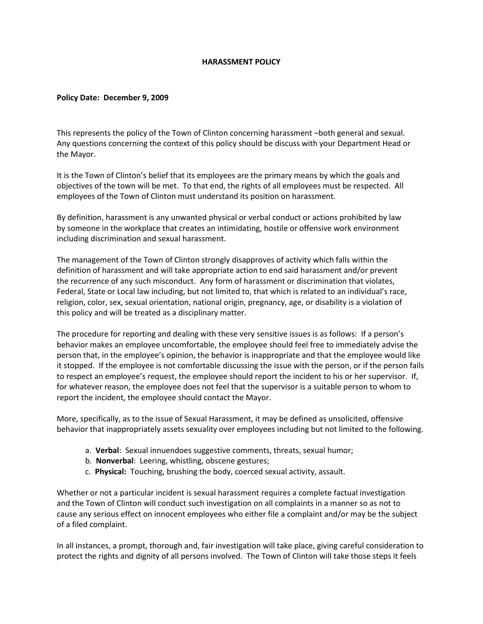## **HARASSMENT POLICY**

## **Policy Date: December 9, 2009**

This represents the policy of the Town of Clinton concerning harassment –both general and sexual. Any questions concerning the context of this policy should be discuss with your Department Head or the Mayor.

It is the Town of Clinton's belief that its employees are the primary means by which the goals and objectives of the town will be met. To that end, the rights of all employees must be respected. All employees of the Town of Clinton must understand its position on harassment.

By definition, harassment is any unwanted physical or verbal conduct or actions prohibited by law by someone in the workplace that creates an intimidating, hostile or offensive work environment including discrimination and sexual harassment.

The management of the Town of Clinton strongly disapproves of activity which falls within the definition of harassment and will take appropriate action to end said harassment and/or prevent the recurrence of any such misconduct. Any form of harassment or discrimination that violates, Federal, State or Local law including, but not limited to, that which is related to an individual's race, religion, color, sex, sexual orientation, national origin, pregnancy, age, or disability is a violation of this policy and will be treated as a disciplinary matter.

The procedure for reporting and dealing with these very sensitive issues is as follows: If a person's behavior makes an employee uncomfortable, the employee should feel free to immediately advise the person that, in the employee's opinion, the behavior is inappropriate and that the employee would like it stopped. If the employee is not comfortable discussing the issue with the person, or if the person fails to respect an employee's request, the employee should report the incident to his or her supervisor. If, for whatever reason, the employee does not feel that the supervisor is a suitable person to whom to report the incident, the employee should contact the Mayor.

More, specifically, as to the issue of Sexual Harassment, it may be defined as unsolicited, offensive behavior that inappropriately assets sexuality over employees including but not limited to the following.

- a. **Verbal**: Sexual innuendoes suggestive comments, threats, sexual humor;
- b. **Nonverbal**: Leering, whistling, obscene gestures;
- c. **Physical:** Touching, brushing the body, coerced sexual activity, assault.

Whether or not a particular incident is sexual harassment requires a complete factual investigation and the Town of Clinton will conduct such investigation on all complaints in a manner so as not to cause any serious effect on innocent employees who either file a complaint and/or may be the subject of a filed complaint.

In all instances, a prompt, thorough and, fair investigation will take place, giving careful consideration to protect the rights and dignity of all persons involved. The Town of Clinton will take those steps it feels